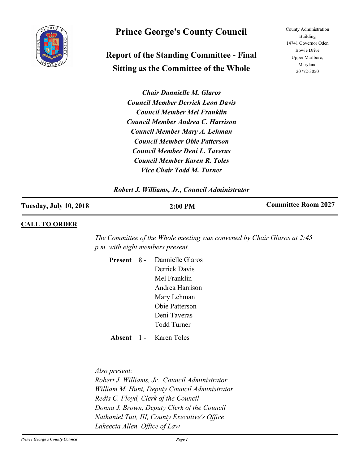

# **Prince George's County Council**

# **Report of the Standing Committee - Final Sitting as the Committee of the Whole**

County Administration Building 14741 Governor Oden Bowie Drive Upper Marlboro, Maryland 20772-3050

*Chair Dannielle M. Glaros Council Member Derrick Leon Davis Council Member Mel Franklin Council Member Andrea C. Harrison Council Member Mary A. Lehman Council Member Obie Patterson Council Member Deni L. Taveras Council Member Karen R. Toles Vice Chair Todd M. Turner*

## *Robert J. Williams, Jr., Council Administrator*

| <b>Tuesday, July 10, 2018</b> | 2:00 PM | <b>Committee Room 2027</b> |
|-------------------------------|---------|----------------------------|
|                               |         |                            |

## **CALL TO ORDER**

*The Committee of the Whole meeting was convened by Chair Glaros at 2:45 p.m. with eight members present.*

Present 8 - Dannielle Glaros Derrick Davis Mel Franklin Andrea Harrison Mary Lehman Obie Patterson Deni Taveras Todd Turner

**Absent** 1 - Karen Toles

*Also present: Robert J. Williams, Jr. Council Administrator William M. Hunt, Deputy Council Administrator Redis C. Floyd, Clerk of the Council Donna J. Brown, Deputy Clerk of the Council Nathaniel Tutt, III, County Executive's Office Lakeecia Allen, Office of Law*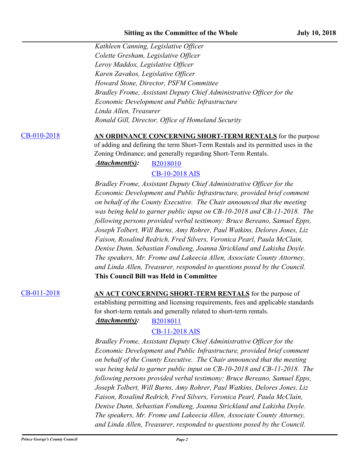*Kathleen Canning, Legislative Officer Colette Gresham, Legislative Officer Leroy Maddox, Legislative Officer Karen Zavakos, Legislative Officer Howard Stone, Director, PSFM Committee Bradley Frome, Assistant Deputy Chief Administrative Officer for the Economic Development and Public Infrastructure Linda Allen, Treasurer Ronald Gill, Director, Office of Homeland Security*

[CB-010-2018](http://princegeorgescountymd.legistar.com/gateway.aspx?m=l&id=/matter.aspx?key=10054) **AN ORDINANCE CONCERNING SHORT-TERM RENTALS** for the purpose of adding and defining the term Short-Term Rentals and its permitted uses in the Zoning Ordinance; and generally regarding Short-Term Rentals.

# *Attachment(s):* [B2018010](http://princegeorgescountymd.legistar.com/gateway.aspx?M=F&ID=34508933-44f1-47c7-af65-7f779e15f832.docx) [CB-10-2018 AIS](http://princegeorgescountymd.legistar.com/gateway.aspx?M=F&ID=85b80ce1-e840-466d-9230-891eabc106e2.pdf)

*Bradley Frome, Assistant Deputy Chief Administrative Officer for the Economic Development and Public Infrastructure, provided brief comment on behalf of the County Executive. The Chair announced that the meeting was being held to garner public input on CB-10-2018 and CB-11-2018. The following persons provided verbal testimony: Bruce Bereano, Samuel Epps, Joseph Tolbert, Will Burns, Amy Rohrer, Paul Watkins, Delores Jones, Liz Faison, Rosalind Redrich, Fred Silvers, Veronica Pearl, Paula McClain, Denise Dunn, Sebastian Fondieng, Joanna Strickland and Lakisha Doyle. The speakers, Mr. Frome and Lakeecia Allen, Associate County Attorney, and Linda Allen, Treasurer, responded to questions posed by the Council.* **This Council Bill was Held in Committee**

[CB-011-2018](http://princegeorgescountymd.legistar.com/gateway.aspx?m=l&id=/matter.aspx?key=10055) **AN ACT CONCERNING SHORT-TERM RENTALS** for the purpose of establishing permitting and licensing requirements, fees and applicable standards for short-term rentals and generally related to short-term rentals.

# Attachment(s): [B2018011](http://princegeorgescountymd.legistar.com/gateway.aspx?M=F&ID=52159d03-3b47-4a50-87b0-d7e393ea8202.docx) [CB-11-2018 AIS](http://princegeorgescountymd.legistar.com/gateway.aspx?M=F&ID=87b82e49-2641-47f8-8ad6-464f665537bf.pdf)

*Bradley Frome, Assistant Deputy Chief Administrative Officer for the Economic Development and Public Infrastructure, provided brief comment on behalf of the County Executive. The Chair announced that the meeting was being held to garner public input on CB-10-2018 and CB-11-2018. The following persons provided verbal testimony: Bruce Bereano, Samuel Epps, Joseph Tolbert, Will Burns, Amy Rohrer, Paul Watkins, Delores Jones, Liz Faison, Rosalind Redrich, Fred Silvers, Veronica Pearl, Paula McClain, Denise Dunn, Sebastian Fondieng, Joanna Strickland and Lakisha Doyle. The speakers, Mr. Frome and Lakeecia Allen, Associate County Attorney, and Linda Allen, Treasurer, responded to questions posed by the Council.*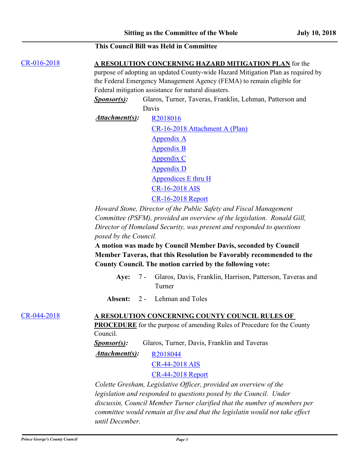# **This Council Bill was Held in Committee**

[CR-016-2018](http://princegeorgescountymd.legistar.com/gateway.aspx?m=l&id=/matter.aspx?key=10017) **A RESOLUTION CONCERNING HAZARD MITIGATION PLAN** for the

purpose of adopting an updated County-wide Hazard Mitigation Plan as required by the Federal Emergency Management Agency (FEMA) to remain eligible for Federal mitigation assistance for natural disasters.

*Sponsor(s):* Glaros, Turner, Taveras, Franklin, Lehman, Patterson and Davis

*Attachment(s):* [R2018016](http://princegeorgescountymd.legistar.com/gateway.aspx?M=F&ID=b9112ef3-b15a-47f2-add0-4e8c34102db6.docx) [CR-16-2018 Attachment A \(Plan\)](http://princegeorgescountymd.legistar.com/gateway.aspx?M=F&ID=d4f4d44d-2ff8-4efd-9360-8568e805642e.pdf) [Appendix A](http://princegeorgescountymd.legistar.com/gateway.aspx?M=F&ID=902d0911-49bd-4fcf-9acb-a348179b93a3.pdf) [Appendix B](http://princegeorgescountymd.legistar.com/gateway.aspx?M=F&ID=dbf4054b-c034-42c7-9a51-9f5cfb331362.pdf) [Appendix C](http://princegeorgescountymd.legistar.com/gateway.aspx?M=F&ID=0576476b-841d-43dc-a6a8-e5332649f332.pdf) [Appendix D](http://princegeorgescountymd.legistar.com/gateway.aspx?M=F&ID=392e8171-48b5-4f2a-94dd-8b8748f6b2fa.pdf) [Appendices E thru H](http://princegeorgescountymd.legistar.com/gateway.aspx?M=F&ID=62a158bc-4708-4043-9fd0-ae3542979fb2.pdf) [CR-16-2018 AIS](http://princegeorgescountymd.legistar.com/gateway.aspx?M=F&ID=b87cec81-1624-4255-af0e-f937f37cb3ba.pdf) [CR-16-2018 Report](http://princegeorgescountymd.legistar.com/gateway.aspx?M=F&ID=bf1ba1d8-b834-4c86-b513-6d57f69bc3cd.doc)

*Howard Stone, Director of the Public Safety and Fiscal Management Committee (PSFM), provided an overview of the legislation. Ronald Gill, Director of Homeland Security, was present and responded to questions posed by the Council.*

**A motion was made by Council Member Davis, seconded by Council Member Taveras, that this Resolution be Favorably recommended to the County Council. The motion carried by the following vote:**

7 - Glaros, Davis, Franklin, Harrison, Patterson, Taveras and Turner **Aye:**

**Absent:** 2 - Lehman and Toles

### [CR-044-2018](http://princegeorgescountymd.legistar.com/gateway.aspx?m=l&id=/matter.aspx?key=10244) **A RESOLUTION CONCERNING COUNTY COUNCIL RULES OF**

**PROCEDURE** for the purpose of amending Rules of Procedure for the County Council.

*Sponsor(s):* Glaros, Turner, Davis, Franklin and Taveras

*Attachment(s):* [R2018044](http://princegeorgescountymd.legistar.com/gateway.aspx?M=F&ID=0c0c00b5-88da-466d-b214-36931e652924.doc)

[CR-44-2018 AIS](http://princegeorgescountymd.legistar.com/gateway.aspx?M=F&ID=2a945f16-18c0-40a6-941f-80fc4c1b8a0a.pdf)

[CR-44-2018 Report](http://princegeorgescountymd.legistar.com/gateway.aspx?M=F&ID=947222a3-aa30-4ffd-8a76-8e027ccee54f.doc)

*Colette Gresham, Legislative Officer, provided an overview of the legislation and responded to questions posed by the Council. Under discussin, Council Member Turner clarified that the number of members per committee would remain at five and that the legislatin would not take effect until December.*